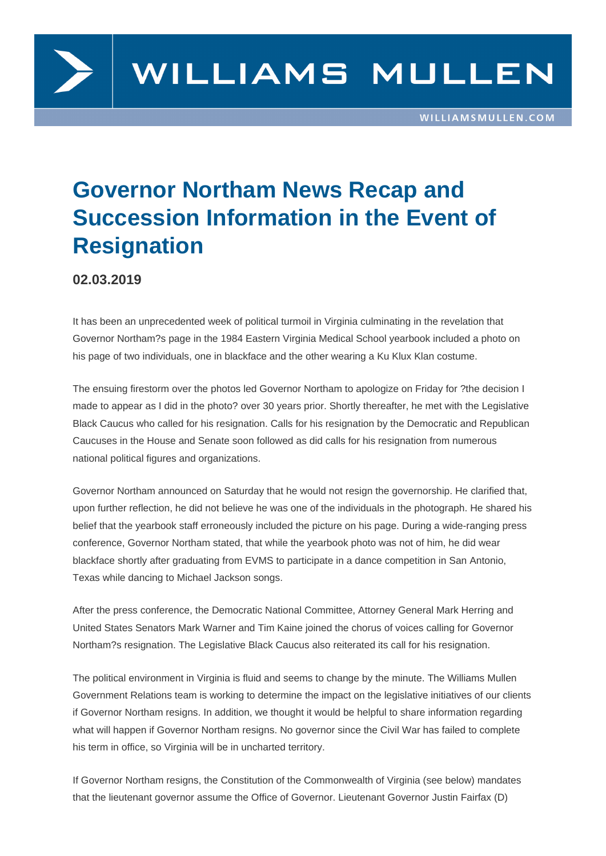

# **Governor Northam News Recap and Succession Information in the Event of Resignation**

#### **02.03.2019**

It has been an unprecedented week of political turmoil in Virginia culminating in the revelation that Governor Northam?s page in the 1984 Eastern Virginia Medical School yearbook included a photo on his page of two individuals, one in blackface and the other wearing a Ku Klux Klan costume.

The ensuing firestorm over the photos led Governor Northam to apologize on Friday for ?the decision I made to appear as I did in the photo? over 30 years prior. Shortly thereafter, he met with the Legislative Black Caucus who called for his resignation. Calls for his resignation by the Democratic and Republican Caucuses in the House and Senate soon followed as did calls for his resignation from numerous national political figures and organizations.

Governor Northam announced on Saturday that he would not resign the governorship. He clarified that, upon further reflection, he did not believe he was one of the individuals in the photograph. He shared his belief that the yearbook staff erroneously included the picture on his page. During a wide-ranging press conference, Governor Northam stated, that while the yearbook photo was not of him, he did wear blackface shortly after graduating from EVMS to participate in a dance competition in San Antonio, Texas while dancing to Michael Jackson songs.

After the press conference, the Democratic National Committee, Attorney General Mark Herring and United States Senators Mark Warner and Tim Kaine joined the chorus of voices calling for Governor Northam?s resignation. The Legislative Black Caucus also reiterated its call for his resignation.

The political environment in Virginia is fluid and seems to change by the minute. The Williams Mullen Government Relations team is working to determine the impact on the legislative initiatives of our clients if Governor Northam resigns. In addition, we thought it would be helpful to share information regarding what will happen if Governor Northam resigns. No governor since the Civil War has failed to complete his term in office, so Virginia will be in uncharted territory.

If Governor Northam resigns, the Constitution of the Commonwealth of Virginia (see below) mandates that the lieutenant governor assume the Office of Governor. Lieutenant Governor Justin Fairfax (D)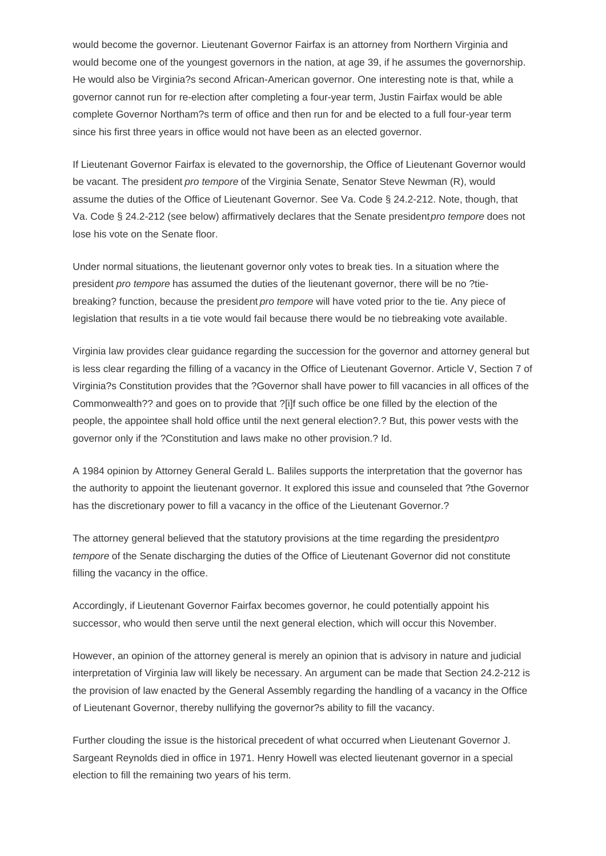would become the governor. Lieutenant Governor Fairfax is an attorney from Northern Virginia and would become one of the youngest governors in the nation, at age 39, if he assumes the governorship. He would also be Virginia?s second African-American governor. One interesting note is that, while a governor cannot run for re-election after completing a four-year term, Justin Fairfax would be able complete Governor Northam?s term of office and then run for and be elected to a full four-year term since his first three years in office would not have been as an elected governor.

If Lieutenant Governor Fairfax is elevated to the governorship, the Office of Lieutenant Governor would be vacant. The president pro tempore of the Virginia Senate, Senator Steve Newman (R), would assume the duties of the Office of Lieutenant Governor. See Va. Code § 24.2-212. Note, though, that Va. Code § 24.2-212 (see below) affirmatively declares that the Senate president pro tempore does not lose his vote on the Senate floor.

Under normal situations, the lieutenant governor only votes to break ties. In a situation where the president pro tempore has assumed the duties of the lieutenant governor, there will be no ?tiebreaking? function, because the president *pro tempore* will have voted prior to the tie. Any piece of legislation that results in a tie vote would fail because there would be no tiebreaking vote available.

Virginia law provides clear guidance regarding the succession for the governor and attorney general but is less clear regarding the filling of a vacancy in the Office of Lieutenant Governor. Article V, Section 7 of Virginia?s Constitution provides that the ?Governor shall have power to fill vacancies in all offices of the Commonwealth?? and goes on to provide that ?[i]f such office be one filled by the election of the people, the appointee shall hold office until the next general election?.? But, this power vests with the governor only if the ?Constitution and laws make no other provision.? Id.

A 1984 opinion by Attorney General Gerald L. Baliles supports the interpretation that the governor has the authority to appoint the lieutenant governor. It explored this issue and counseled that ?the Governor has the discretionary power to fill a vacancy in the office of the Lieutenant Governor.?

The attorney general believed that the statutory provisions at the time regarding the president pro tempore of the Senate discharging the duties of the Office of Lieutenant Governor did not constitute filling the vacancy in the office.

Accordingly, if Lieutenant Governor Fairfax becomes governor, he could potentially appoint his successor, who would then serve until the next general election, which will occur this November.

However, an opinion of the attorney general is merely an opinion that is advisory in nature and judicial interpretation of Virginia law will likely be necessary. An argument can be made that Section 24.2-212 is the provision of law enacted by the General Assembly regarding the handling of a vacancy in the Office of Lieutenant Governor, thereby nullifying the governor?s ability to fill the vacancy.

Further clouding the issue is the historical precedent of what occurred when Lieutenant Governor J. Sargeant Reynolds died in office in 1971. Henry Howell was elected lieutenant governor in a special election to fill the remaining two years of his term.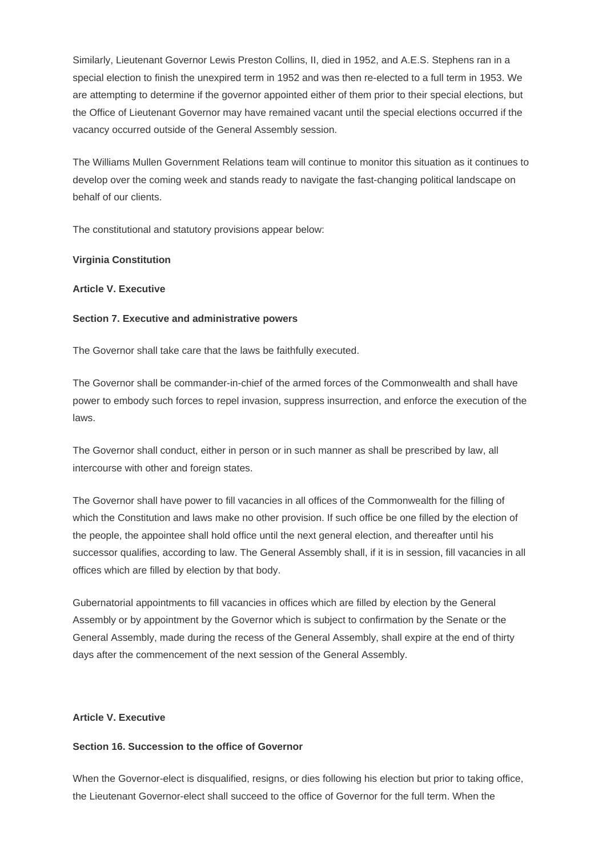Similarly, Lieutenant Governor Lewis Preston Collins, II, died in 1952, and A.E.S. Stephens ran in a special election to finish the unexpired term in 1952 and was then re-elected to a full term in 1953. We are attempting to determine if the governor appointed either of them prior to their special elections, but the Office of Lieutenant Governor may have remained vacant until the special elections occurred if the vacancy occurred outside of the General Assembly session.

The Williams Mullen Government Relations team will continue to monitor this situation as it continues to develop over the coming week and stands ready to navigate the fast-changing political landscape on behalf of our clients.

The constitutional and statutory provisions appear below:

#### **Virginia Constitution**

#### **Article V. Executive**

#### **Section 7. Executive and administrative powers**

The Governor shall take care that the laws be faithfully executed.

The Governor shall be commander-in-chief of the armed forces of the Commonwealth and shall have power to embody such forces to repel invasion, suppress insurrection, and enforce the execution of the laws.

The Governor shall conduct, either in person or in such manner as shall be prescribed by law, all intercourse with other and foreign states.

The Governor shall have power to fill vacancies in all offices of the Commonwealth for the filling of which the Constitution and laws make no other provision. If such office be one filled by the election of the people, the appointee shall hold office until the next general election, and thereafter until his successor qualifies, according to law. The General Assembly shall, if it is in session, fill vacancies in all offices which are filled by election by that body.

Gubernatorial appointments to fill vacancies in offices which are filled by election by the General Assembly or by appointment by the Governor which is subject to confirmation by the Senate or the General Assembly, made during the recess of the General Assembly, shall expire at the end of thirty days after the commencement of the next session of the General Assembly.

#### **Article V. Executive**

#### **Section 16. Succession to the office of Governor**

When the Governor-elect is disqualified, resigns, or dies following his election but prior to taking office, the Lieutenant Governor-elect shall succeed to the office of Governor for the full term. When the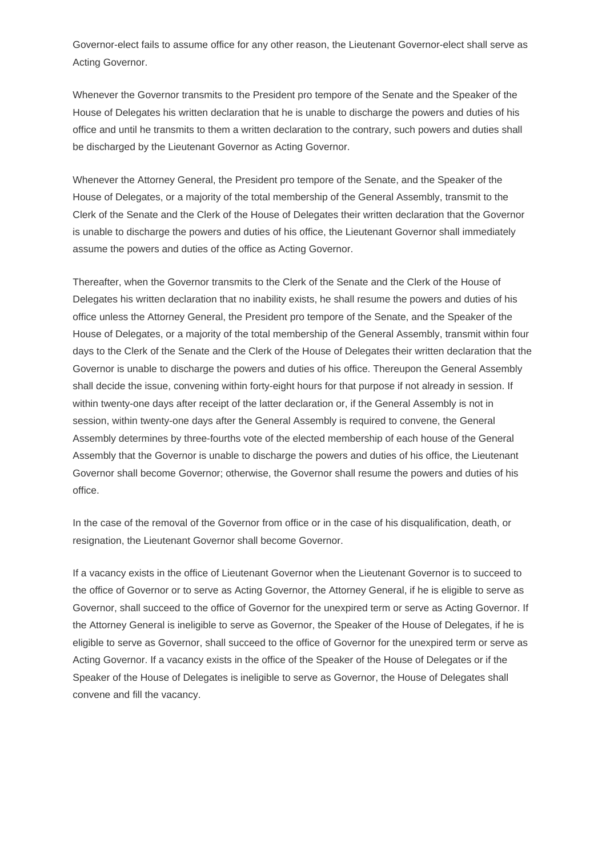Governor-elect fails to assume office for any other reason, the Lieutenant Governor-elect shall serve as Acting Governor.

Whenever the Governor transmits to the President pro tempore of the Senate and the Speaker of the House of Delegates his written declaration that he is unable to discharge the powers and duties of his office and until he transmits to them a written declaration to the contrary, such powers and duties shall be discharged by the Lieutenant Governor as Acting Governor.

Whenever the Attorney General, the President pro tempore of the Senate, and the Speaker of the House of Delegates, or a majority of the total membership of the General Assembly, transmit to the Clerk of the Senate and the Clerk of the House of Delegates their written declaration that the Governor is unable to discharge the powers and duties of his office, the Lieutenant Governor shall immediately assume the powers and duties of the office as Acting Governor.

Thereafter, when the Governor transmits to the Clerk of the Senate and the Clerk of the House of Delegates his written declaration that no inability exists, he shall resume the powers and duties of his office unless the Attorney General, the President pro tempore of the Senate, and the Speaker of the House of Delegates, or a majority of the total membership of the General Assembly, transmit within four days to the Clerk of the Senate and the Clerk of the House of Delegates their written declaration that the Governor is unable to discharge the powers and duties of his office. Thereupon the General Assembly shall decide the issue, convening within forty-eight hours for that purpose if not already in session. If within twenty-one days after receipt of the latter declaration or, if the General Assembly is not in session, within twenty-one days after the General Assembly is required to convene, the General Assembly determines by three-fourths vote of the elected membership of each house of the General Assembly that the Governor is unable to discharge the powers and duties of his office, the Lieutenant Governor shall become Governor; otherwise, the Governor shall resume the powers and duties of his office.

In the case of the removal of the Governor from office or in the case of his disqualification, death, or resignation, the Lieutenant Governor shall become Governor.

If a vacancy exists in the office of Lieutenant Governor when the Lieutenant Governor is to succeed to the office of Governor or to serve as Acting Governor, the Attorney General, if he is eligible to serve as Governor, shall succeed to the office of Governor for the unexpired term or serve as Acting Governor. If the Attorney General is ineligible to serve as Governor, the Speaker of the House of Delegates, if he is eligible to serve as Governor, shall succeed to the office of Governor for the unexpired term or serve as Acting Governor. If a vacancy exists in the office of the Speaker of the House of Delegates or if the Speaker of the House of Delegates is ineligible to serve as Governor, the House of Delegates shall convene and fill the vacancy.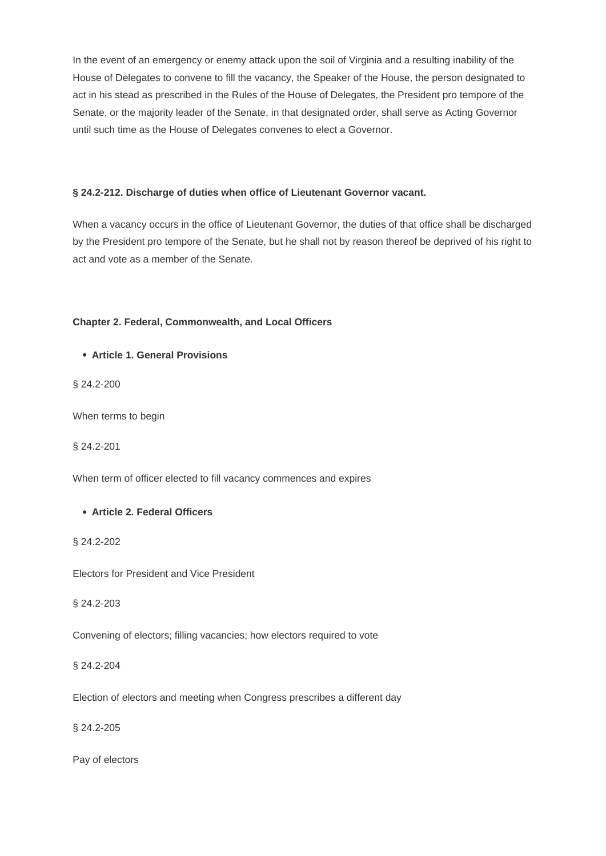In the event of an emergency or enemy attack upon the soil of Virginia and a resulting inability of the House of Delegates to convene to fill the vacancy, the Speaker of the House, the person designated to act in his stead as prescribed in the Rules of the House of Delegates, the President pro tempore of the Senate, or the majority leader of the Senate, in that designated order, shall serve as Acting Governor until such time as the House of Delegates convenes to elect a Governor.

§ 24.2-212. Discharge of duties when office of Lieutenant Governor vacant.

When a vacancy occurs in the office of Lieutenant Governor, the duties of that office shall be discharged by the President pro tempore of the Senate, but he shall not by reason thereof be deprived of his right to act and vote as a member of the Senate.

Chapter 2. Federal, Commonwealth, and Local Officers

Article 1. General Provisions

§ 24.2-200

When terms to begin

§ 24.2-201

When term of officer elected to fill vacancy commences and expires

• Article 2. Federal Officers

§ 24.2-202

Electors for President and Vice President

§ 24.2-203

Convening of electors; filling vacancies; how electors required to vote

#### § 24.2-204

Election of electors and meeting when Congress prescribes a different day

§ 24.2-205

Pay of electors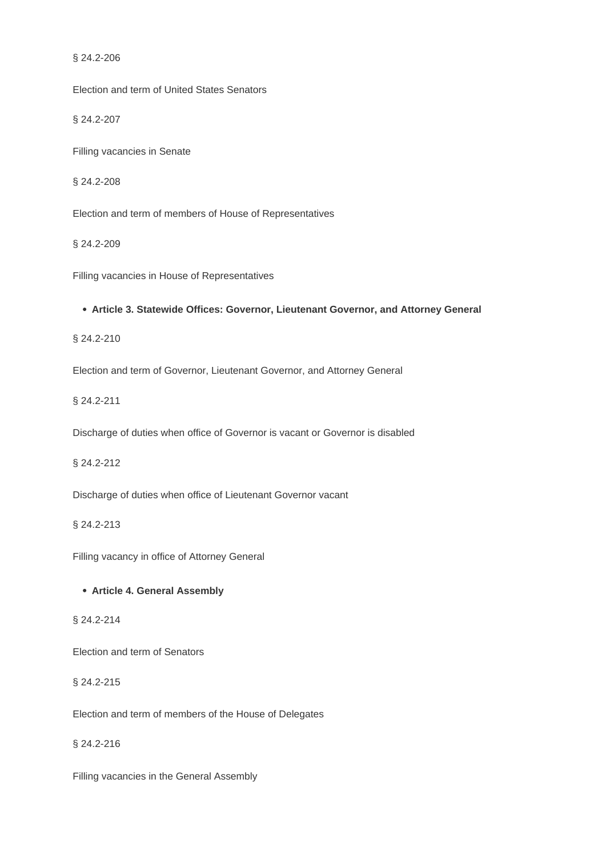§ 24.2-206

Election and term of United States Senators

§ 24.2-207

Filling vacancies in Senate

§ 24.2-208

Election and term of members of House of Representatives

§ 24.2-209

Filling vacancies in House of Representatives

Article 3. Statewide Offices: Governor, Lieutenant Governor, and Attorney General

§ 24.2-210

Election and term of Governor, Lieutenant Governor, and Attorney General

§ 24.2-211

Discharge of duties when office of Governor is vacant or Governor is disabled

§ 24.2-212

Discharge of duties when office of Lieutenant Governor vacant

§ 24.2-213

Filling vacancy in office of Attorney General

Article 4. General Assembly

§ 24.2-214

Election and term of Senators

§ 24.2-215

Election and term of members of the House of Delegates

§ 24.2-216

Filling vacancies in the General Assembly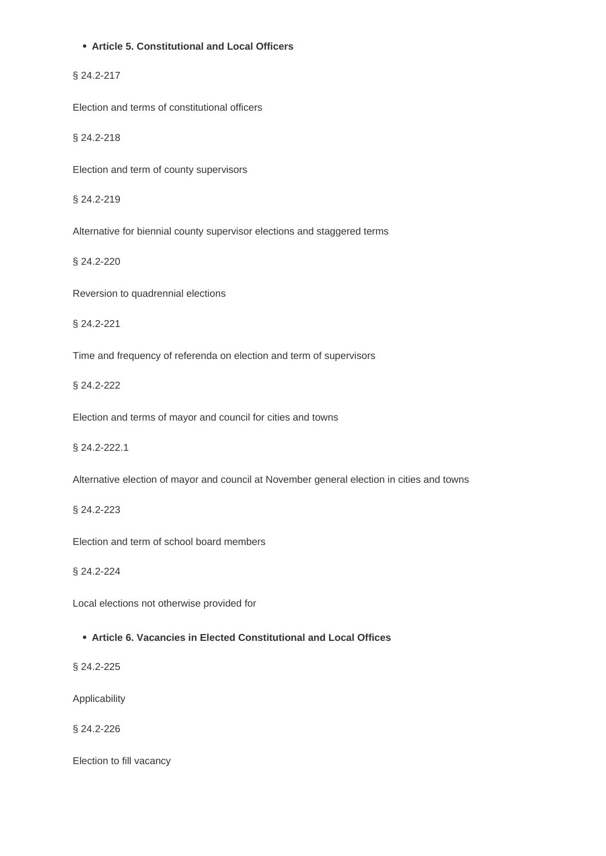§ 24.2-217

Election and terms of constitutional officers

§ 24.2-218

Election and term of county supervisors

§ 24.2-219

Alternative for biennial county supervisor elections and staggered terms

§ 24.2-220

Reversion to quadrennial elections

§ 24.2-221

Time and frequency of referenda on election and term of supervisors

§ 24.2-222

Election and terms of mayor and council for cities and towns

§ 24.2-222.1

Alternative election of mayor and council at November general election in cities and towns

§ 24.2-223

Election and term of school board members

§ 24.2-224

Local elections not otherwise provided for

Article 6. Vacancies in Elected Constitutional and Local Offices

§ 24.2-225

Applicability

§ 24.2-226

Election to fill vacancy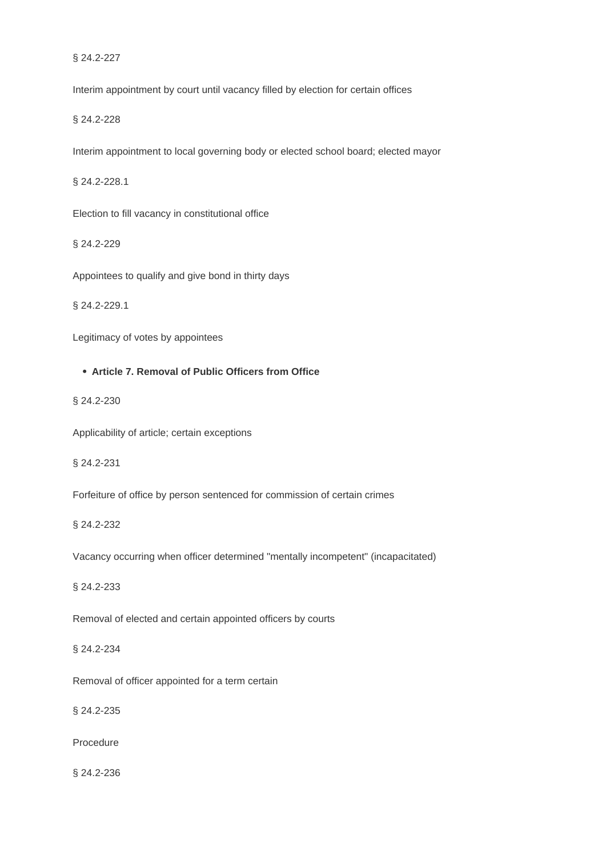§ 24.2-227

Interim appointment by court until vacancy filled by election for certain offices

§ 24.2-228

Interim appointment to local governing body or elected school board; elected mayor

§ 24.2-228.1

Election to fill vacancy in constitutional office

§ 24.2-229

Appointees to qualify and give bond in thirty days

§ 24.2-229.1

Legitimacy of votes by appointees

Article 7. Removal of Public Officers from Office

§ 24.2-230

Applicability of article; certain exceptions

§ 24.2-231

Forfeiture of office by person sentenced for commission of certain crimes

§ 24.2-232

Vacancy occurring when officer determined "mentally incompetent" (incapacitated)

§ 24.2-233

Removal of elected and certain appointed officers by courts

§ 24.2-234

Removal of officer appointed for a term certain

§ 24.2-235

Procedure

§ 24.2-236